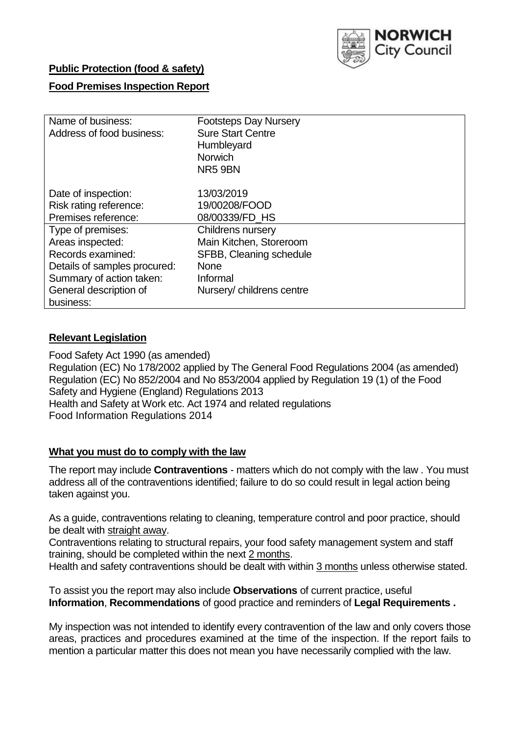

## **Public Protection (food & safety)**

## **Food Premises Inspection Report**

| Name of business:<br>Address of food business:                                                                                                                | <b>Footsteps Day Nursery</b><br><b>Sure Start Centre</b><br>Humbleyard<br><b>Norwich</b><br>NR59BN                                     |
|---------------------------------------------------------------------------------------------------------------------------------------------------------------|----------------------------------------------------------------------------------------------------------------------------------------|
| Date of inspection:<br>Risk rating reference:<br>Premises reference:                                                                                          | 13/03/2019<br>19/00208/FOOD<br>08/00339/FD HS                                                                                          |
| Type of premises:<br>Areas inspected:<br>Records examined:<br>Details of samples procured:<br>Summary of action taken:<br>General description of<br>business: | <b>Childrens nursery</b><br>Main Kitchen, Storeroom<br>SFBB, Cleaning schedule<br><b>None</b><br>Informal<br>Nursery/ childrens centre |

#### **Relevant Legislation**

Food Safety Act 1990 (as amended) Regulation (EC) No 178/2002 applied by The General Food Regulations 2004 (as amended) Regulation (EC) No 852/2004 and No 853/2004 applied by Regulation 19 (1) of the Food Safety and Hygiene (England) Regulations 2013 Health and Safety at Work etc. Act 1974 and related regulations Food Information Regulations 2014

## **What you must do to comply with the law**

The report may include **Contraventions** - matters which do not comply with the law . You must address all of the contraventions identified; failure to do so could result in legal action being taken against you.

As a guide, contraventions relating to cleaning, temperature control and poor practice, should be dealt with straight away.

Contraventions relating to structural repairs, your food safety management system and staff training, should be completed within the next 2 months.

Health and safety contraventions should be dealt with within 3 months unless otherwise stated.

To assist you the report may also include **Observations** of current practice, useful **Information**, **Recommendations** of good practice and reminders of **Legal Requirements .**

My inspection was not intended to identify every contravention of the law and only covers those areas, practices and procedures examined at the time of the inspection. If the report fails to mention a particular matter this does not mean you have necessarily complied with the law.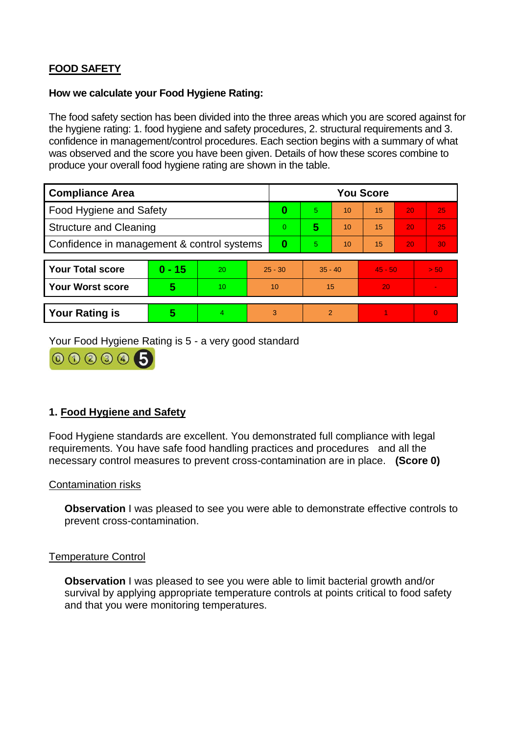# **FOOD SAFETY**

### **How we calculate your Food Hygiene Rating:**

The food safety section has been divided into the three areas which you are scored against for the hygiene rating: 1. food hygiene and safety procedures, 2. structural requirements and 3. confidence in management/control procedures. Each section begins with a summary of what was observed and the score you have been given. Details of how these scores combine to produce your overall food hygiene rating are shown in the table.

| <b>Compliance Area</b>                     |          |    |           | <b>You Score</b> |                |    |           |    |          |  |  |
|--------------------------------------------|----------|----|-----------|------------------|----------------|----|-----------|----|----------|--|--|
| Food Hygiene and Safety                    |          |    |           | $\bf{0}$         | 5.             | 10 | 15        | 20 | 25       |  |  |
| <b>Structure and Cleaning</b>              |          |    | $\Omega$  | 5                | 10             | 15 | 20        | 25 |          |  |  |
| Confidence in management & control systems |          |    | $\bf{0}$  | 5                | 10             | 15 | 20        | 30 |          |  |  |
|                                            |          |    |           |                  |                |    |           |    |          |  |  |
| <b>Your Total score</b>                    | $0 - 15$ | 20 | $25 - 30$ |                  | $35 - 40$      |    | $45 - 50$ |    | > 50     |  |  |
| <b>Your Worst score</b>                    | 5        | 10 | 10        |                  | 15             |    | 20        |    |          |  |  |
|                                            |          |    |           |                  |                |    |           |    |          |  |  |
| <b>Your Rating is</b>                      | 5        | 4  | 3         |                  | $\overline{2}$ |    |           |    | $\Omega$ |  |  |

Your Food Hygiene Rating is 5 - a very good standard



## **1. Food Hygiene and Safety**

Food Hygiene standards are excellent. You demonstrated full compliance with legal requirements. You have safe food handling practices and procedures and all the necessary control measures to prevent cross-contamination are in place. **(Score 0)**

#### Contamination risks

**Observation** I was pleased to see you were able to demonstrate effective controls to prevent cross-contamination.

#### Temperature Control

**Observation** I was pleased to see you were able to limit bacterial growth and/or survival by applying appropriate temperature controls at points critical to food safety and that you were monitoring temperatures.